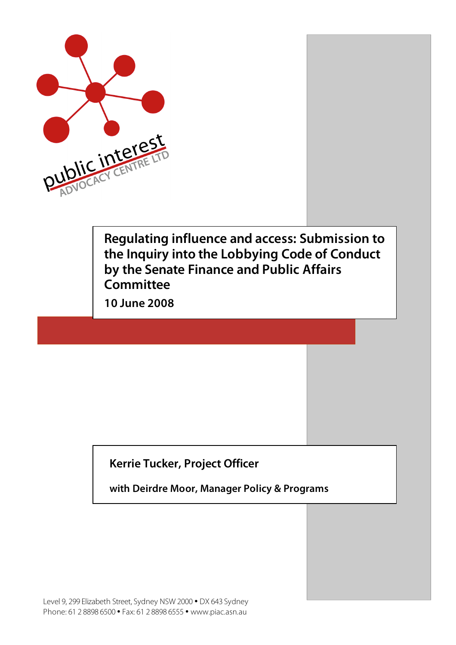

**Regulating influence and access: Submission to the Inquiry into the Lobbying Code of Conduct by the Senate Finance and Public Affairs Committee**

**10 June 2008**

### **Kerrie Tucker, Project Officer**

**with Deirdre Moor, Manager Policy & Programs**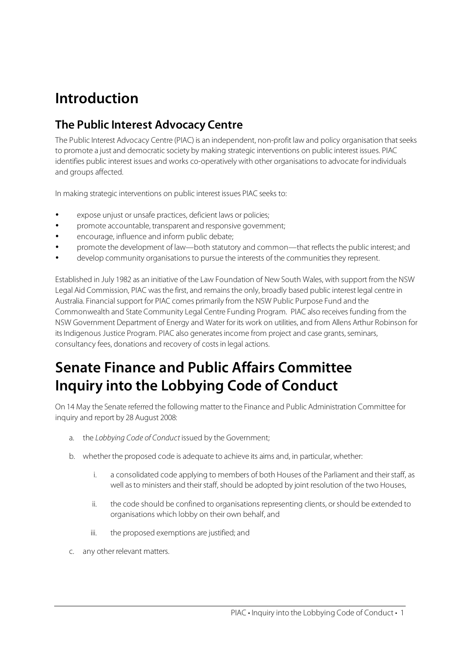## **Introduction**

### **The Public Interest Advocacy Centre**

The Public Interest Advocacy Centre (PIAC) is an independent, non-profit law and policy organisation thatseeks to promote a just and democratic society by making strategic interventions on public interest issues. PIAC identifies public interest issues and works co-operatively with other organisations to advocate for individuals and groups affected.

In making strategic interventions on public interest issues PIAC seeks to:

- expose unjust or unsafe practices, deficient laws or policies;
- promote accountable, transparent and responsive government;
- encourage, influence and inform public debate;
- promote the development of law—both statutory and common—that reflects the public interest; and
- develop community organisations to pursue the interests of the communitiesthey represent.

Established in July 1982 as an initiative of the Law Foundation of New South Wales, with support from the NSW Legal Aid Commission, PIAC was the first, and remains the only, broadly based public interest legal centre in Australia. Financial support for PIAC comes primarily from the NSW Public Purpose Fund and the Commonwealth and State Community Legal Centre Funding Program. PIAC also receives funding from the NSW Government Department of Energy and Water for its work on utilities, and from Allens Arthur Robinson for its Indigenous Justice Program. PIAC also generates income from project and case grants, seminars, consultancy fees, donations and recovery of costsin legal actions.

## **Senate Finance and Public Affairs Committee Inquiry into the Lobbying Code of Conduct**

On 14 May the Senate referred the following matter to the Finance and Public Administration Committee for inquiry and report by 28 August 2008:

- a. the Lobbying Code of Conduct issued by the Government;
- b. whether the proposed code is adequate to achieve its aims and, in particular, whether:
	- i. a consolidated code applying to members of both Houses of the Parliament and their staff, as well as to ministers and their staff, should be adopted by joint resolution of the two Houses,
	- ii. the code should be confined to organisations representing clients, or should be extended to organisations which lobby on their own behalf, and
	- iii. the proposed exemptions are justified; and
- c. any other relevant matters.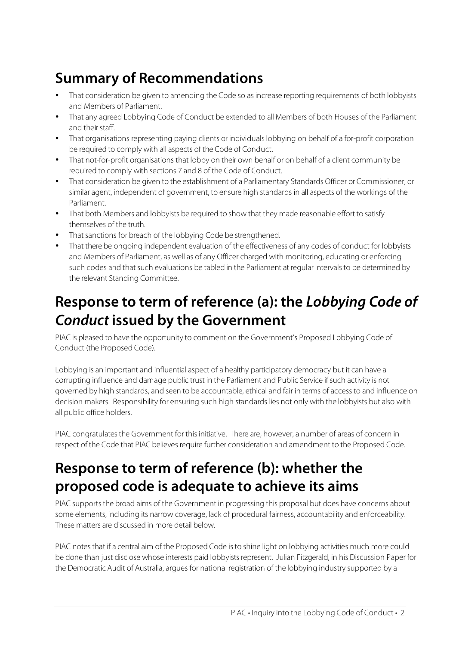# **Summary of Recommendations**

- That consideration be given to amending the Code so as increase reporting requirements of both lobbyists and Members of Parliament.
- That any agreed Lobbying Code of Conduct be extended to all Members of both Houses of the Parliament and their staff.
- That organisations representing paying clients or individuals lobbying on behalf of a for-profit corporation be required to comply with all aspects of the Code of Conduct.
- That not-for-profit organisations that lobby on their own behalf or on behalf of a client community be required to comply with sections 7 and 8 of the Code of Conduct.
- That consideration be given to the establishment of a Parliamentary Standards Officer or Commissioner, or similar agent, independent of government, to ensure high standards in all aspects of the workings of the Parliament.
- That both Members and lobbyists be required to show that they made reasonable effort to satisfy themselves of the truth.
- That sanctions for breach of the lobbying Code be strengthened.
- That there be ongoing independent evaluation of the effectiveness of any codes of conduct for lobbyists and Members of Parliament, as well as of any Officer charged with monitoring, educating or enforcing such codes and that such evaluations be tabled in the Parliament at regular intervals to be determined by the relevant Standing Committee.

## **Response to term of reference (a): the Lobbying Code of Conduct issued by the Government**

PIAC is pleased to have the opportunity to comment on the Government's Proposed Lobbying Code of Conduct (the Proposed Code).

Lobbying is an important and influential aspect of a healthy participatory democracy but it can have a corrupting influence and damage public trust in the Parliament and Public Service if such activity is not governed by high standards, and seen to be accountable, ethical and fair in terms of accessto and influence on decision makers. Responsibility for ensuring such high standards lies not only with the lobbyists but also with all public office holders.

PIAC congratulates the Government for this initiative. There are, however, a number of areas of concern in respect of the Code that PIAC believes require further consideration and amendment to the Proposed Code.

## **Response to term of reference (b): whether the proposed code is adequate to achieve its aims**

PIAC supports the broad aims of the Government in progressing this proposal but does have concerns about some elements, including its narrow coverage, lack of procedural fairness, accountability and enforceability. These matters are discussed in more detail below.

PIAC notesthat if a central aim of the Proposed Code isto shine light on lobbying activities much more could be done than just disclose whose interests paid lobbyists represent. Julian Fitzgerald, in his Discussion Paper for the Democratic Audit of Australia, argues for national registration of the lobbying industry supported by a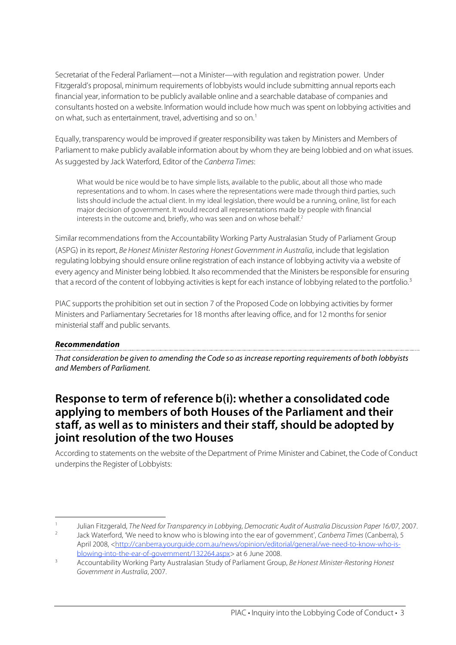Secretariat of the Federal Parliament—not a Minister—with regulation and registration power. Under Fitzgerald's proposal, minimum requirements of lobbyists would include submitting annual reports each financial year, information to be publicly available online and a searchable database of companies and consultants hosted on a website. Information would include how much was spent on lobbying activities and on what, such as entertainment, travel, advertising and so on. 1

Equally, transparency would be improved if greater responsibility was taken by Ministers and Members of Parliament to make publicly available information about by whom they are being lobbied and on what issues. Assuggested by Jack Waterford, Editor of the Canberra Times:

What would be nice would be to have simple lists, available to the public, about all those who made representations and to whom. In cases where the representations were made through third parties, such lists should include the actual client. In my ideal legislation, there would be a running, online, list for each major decision of government. It would record all representations made by people with financial interests in the outcome and, briefly, who was seen and on whose behalf. 2

Similar recommendations from the Accountability Working Party Australasian Study of Parliament Group (ASPG) in its report, Be Honest Minister Restoring Honest Government in Australia, include that legislation regulating lobbying should ensure online registration of each instance of lobbying activity via a website of every agency and Minister being lobbied. It also recommended that the Ministers be responsible for ensuring that a record of the content of lobbying activities is kept for each instance of lobbying related to the portfolio.<sup>3</sup>

PIAC supports the prohibition set out in section 7 of the Proposed Code on lobbying activities by former Ministers and Parliamentary Secretaries for 18 months after leaving office, and for 12 months for senior ministerial staff and public servants.

#### **Recommendation**

That consideration be given to amending the Code so as increase reporting requirements of both lobbyists and Members of Parliament.

### **Response to term of reference b(i): whether a consolidated code applying to members of both Houses of the Parliament and their staff, as well as to ministers and their staff, should be adopted by joint resolution of the two Houses**

According to statements on the website of the Department of Prime Minister and Cabinet, the Code of Conduct underpins the Register of Lobbyists:

<sup>&</sup>lt;sup>1</sup> Julian Fitzgerald, The Need for Transparency in Lobbying, Democratic Audit of Australia Discussion Paper 16/07, 2007.<br>
1 And Weterfard, We need to know who is blowing into the ear of novemperatic Capberra Times (Capber

Jack Waterford, 'We need to know who is blowing into the ear of government', Canberra Times (Canberra), 5 April 2008, <http://canberra.yourguide.com.au/news/opinion/editorial/general/we-need-to-know-who-isblowing-into-the-ear-of-government/132264.aspx> at 6 June 2008.

Accountability Working Party Australasian Study of Parliament Group, Be Honest Minister-Restoring Honest Government in Australia, 2007.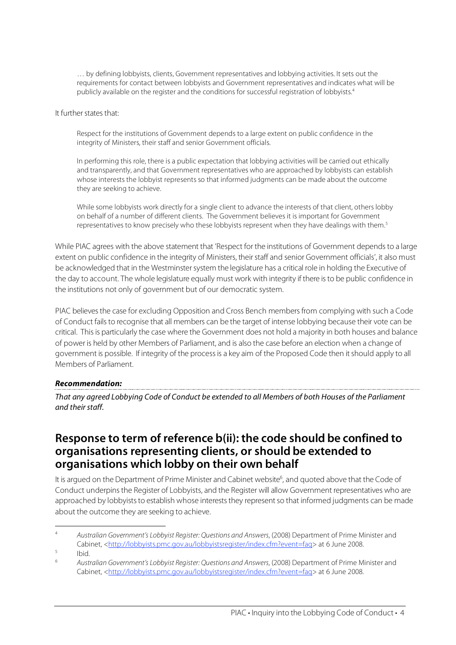… by defining lobbyists, clients, Government representatives and lobbying activities. It sets out the requirements for contact between lobbyists and Government representatives and indicates what will be publicly available on the register and the conditions for successful registration of lobbyists.<sup>4</sup>

It further states that:

Respect for the institutions of Government depends to a large extent on public confidence in the integrity of Ministers, their staff and senior Government officials.

In performing this role, there is a public expectation that lobbying activities will be carried out ethically and transparently, and that Government representatives who are approached by lobbyists can establish whose interests the lobbyist represents so that informed judgments can be made about the outcome they are seeking to achieve.

While some lobbyists work directly for a single client to advance the interests of that client, others lobby on behalf of a number of different clients. The Government believes it is important for Government representatives to know precisely who these lobbyists represent when they have dealings with them.<sup>5</sup>

While PIAC agrees with the above statement that 'Respect for the institutions of Government depends to a large extent on public confidence in the integrity of Ministers, their staff and senior Government officials', it also must be acknowledged that in the Westminster system the legislature has a critical role in holding the Executive of the day to account. The whole legislature equally must work with integrity if there isto be public confidence in the institutions not only of government but of our democratic system.

PIAC believesthe case for excluding Opposition and Cross Bench members from complying with such a Code of Conduct fails to recognise that all members can be the target of intense lobbying because their vote can be critical. Thisis particularly the case where the Government does not hold a majority in both houses and balance of power is held by other Members of Parliament, and is also the case before an election when a change of government is possible. If integrity of the process is a key aim of the Proposed Code then it should apply to all Members of Parliament.

#### **Recommendation:**

That any agreed Lobbying Code of Conduct be extended to all Members of both Houses of the Parliament and their staff.

### **Response to term of reference b(ii): the code should be confined to organisations representing clients, or should be extended to organisations which lobby on their own behalf**

It is argued on the Department of Prime Minister and Cabinet website<sup>6</sup>, and quoted above that the Code of Conduct underpins the Register of Lobbyists, and the Register will allow Government representatives who are approached by lobbyists to establish whose interests they represent so that informed judgments can be made about the outcome they are seeking to achieve.

 <sup>4</sup> Australian Government's Lobbyist Register: Questions and Answers, (2008) Department of Prime Minister and Cabinet, <http://lobbyists.pmc.gov.au/lobbyistsregister/index.cfm?event=faq> at 6 June 2008.

 $\frac{5}{6}$  Ibid.

<sup>6</sup> Australian Government's Lobbyist Register: Questions and Answers, (2008) Department of Prime Minister and Cabinet, <http://lobbyists.pmc.gov.au/lobbyistsregister/index.cfm?event=faq> at 6 June 2008.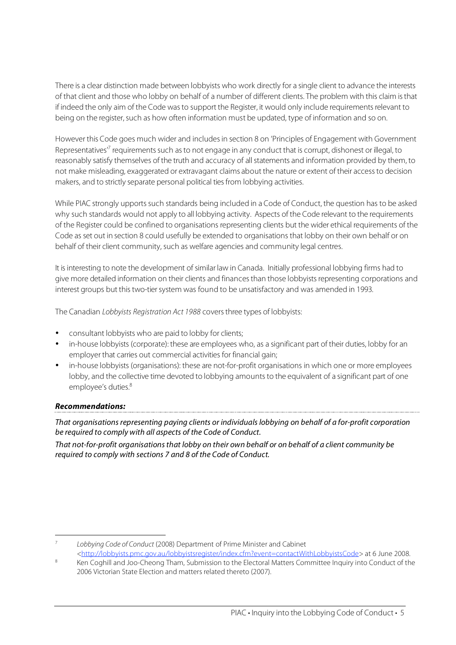There is a clear distinction made between lobbyists who work directly for a single client to advance the interests of that client and those who lobby on behalf of a number of different clients. The problem with this claim isthat if indeed the only aim of the Code was to support the Register, it would only include requirements relevant to being on the register, such as how often information must be updated, type of information and so on.

However this Code goes much wider and includesin section 8 on 'Principles of Engagement with Government Representatives<sup>17</sup> requirements such as to not engage in any conduct that is corrupt, dishonest or illegal, to reasonably satisfy themselves of the truth and accuracy of all statements and information provided by them, to not make misleading, exaggerated or extravagant claims about the nature or extent of their accessto decision makers, and to strictly separate personal political tiesfrom lobbying activities.

While PIAC strongly upports such standards being included in a Code of Conduct, the question has to be asked why such standards would not apply to all lobbying activity. Aspects of the Code relevant to the requirements of the Register could be confined to organisations representing clients but the wider ethical requirements of the Code as set out in section 8 could usefully be extended to organisations that lobby on their own behalf or on behalf of their client community, such as welfare agencies and community legal centres.

It isinteresting to note the development of similar law in Canada. Initially professional lobbying firms had to give more detailed information on their clients and finances than those lobbyists representing corporations and interest groups but this two-tier system was found to be unsatisfactory and was amended in 1993.

The Canadian Lobbyists Registration Act 1988 covers three types of lobbyists:

- consultant lobbyists who are paid to lobby for clients;
- in-house lobbyists (corporate): these are employees who, as a significant part of their duties, lobby for an employer that carries out commercial activities for financial gain;
- in-house lobbyists (organisations): these are not-for-profit organisations in which one or more employees lobby, and the collective time devoted to lobbying amounts to the equivalent of a significant part of one employee's duties.<sup>8</sup>

#### **Recommendations:**

That organisations representing paying clients or individuals lobbying on behalf of a for-profit corporation be required to comply with all aspects of the Code of Conduct.

That not-for-profit organisations that lobby on their own behalf or on behalf of a client community be required to comply with sections 7 and 8 of the Code of Conduct.

 <sup>7</sup> Lobbying Code of Conduct (2008) Department of Prime Minister and Cabinet <http://lobbyists.pmc.gov.au/lobbyistsregister/index.cfm?event=contactWithLobbyistsCode> at 6 June 2008.

Ken Coghill and Joo-Cheong Tham, Submission to the Electoral Matters Committee Inquiry into Conduct of the 2006 Victorian State Election and matters related thereto (2007).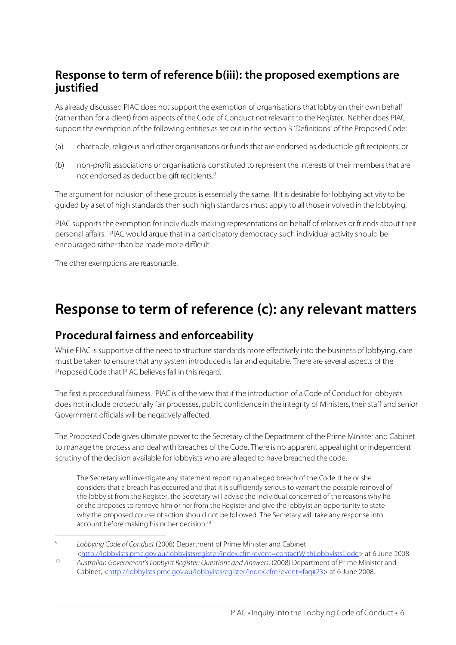### **Response to term of reference b(iii): the proposed exemptions are justified**

As already discussed PIAC does notsupport the exemption of organisations that lobby on their own behalf (ratherthan for a client) from aspects of the Code of Conduct not relevant to the Register. Neither does PIAC support the exemption of the following entities asset out in the section 3 'Definitions' of the Proposed Code:

- (a) charitable, religious and other organisations or funds that are endorsed as deductible gift recipients; or
- (b) non-profit associations or organisations constituted to represent the interests of their membersthat are not endorsed as deductible gift recipients. 9

The argument for inclusion of these groups is essentially the same. If it is desirable for lobbying activity to be guided by a set of high standards then such high standards must apply to all those involved in the lobbying.

PIAC supports the exemption for individuals making representations on behalf of relatives or friends about their personal affairs. PIAC would argue that in a participatory democracy such individual activity should be encouraged rather than be made more difficult.

The other exemptions are reasonable.

## **Response to term of reference (c): any relevant matters**

### **Procedural fairness and enforceability**

While PIAC is supportive of the need to structure standards more effectively into the business of lobbying, care must be taken to ensure that any system introduced is fair and equitable. There are several aspects of the Proposed Code that PIAC believes fail in this regard.

The first is procedural fairness. PIAC is of the view that if the introduction of a Code of Conduct for lobbyists does not include procedurally fair processes, public confidence in the integrity of Ministers, their staff and senior Government officials will be negatively affected.

The Proposed Code gives ultimate power to the Secretary of the Department of the Prime Minister and Cabinet to manage the process and deal with breaches of the Code. There is no apparent appeal right or independent scrutiny of the decision available for lobbyists who are alleged to have breached the code.

The Secretary will investigate any statement reporting an alleged breach of the Code. If he or she considers that a breach has occurred and that it is sufficiently serious to warrant the possible removal of the lobbyist from the Register, the Secretary will advise the individual concerned of the reasons why he or she proposes to remove him or her from the Register and give the lobbyist an opportunity to state why the proposed course of action should not be followed. The Secretary will take any response into account before making his or her decision.<sup>10</sup>

Lobbying Code of Conduct (2008) Department of Prime Minister and Cabinet

<sup>&</sup>lt;http://lobbyists.pmc.gov.au/lobbyistsregister/index.cfm?event=contactWithLobbyistsCode> at 6 June 2008. <sup>10</sup> Australian Government's Lobbyist Register: Questions and Answers, (2008) Department of Prime Minister and Cabinet, <http://lobbyists.pmc.gov.au/lobbyistsregister/index.cfm?event=faq#23> at 6 June 2008.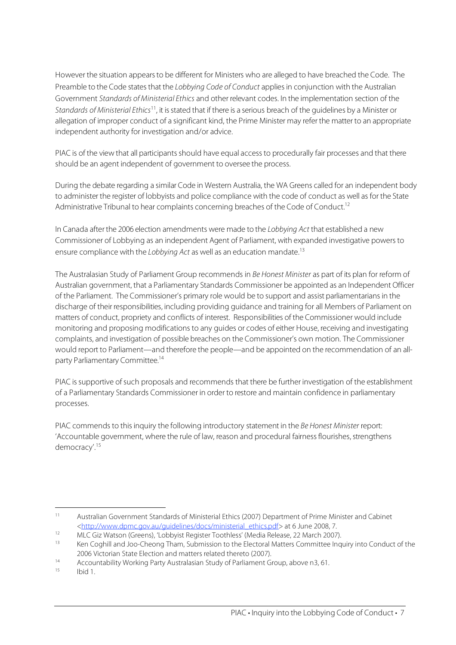However the situation appearsto be different for Ministers who are alleged to have breached the Code. The Preamble to the Code states that the Lobbying Code of Conduct applies in conjunction with the Australian Government Standards of Ministerial Ethics and other relevant codes. In the implementation section of the Standards of Ministerial Ethics<sup>11</sup>, it is stated that if there is a serious breach of the guidelines by a Minister or allegation of improper conduct of a significant kind, the Prime Minister may refer the matter to an appropriate independent authority for investigation and/or advice.

PIAC is of the view that all participants should have equal access to procedurally fair processes and that there should be an agent independent of government to oversee the process.

During the debate regarding a similar Code in Western Australia, the WA Greens called for an independent body to administer the register of lobbyists and police compliance with the code of conduct as well as for the State Administrative Tribunal to hear complaints concerning breaches of the Code of Conduct.<sup>12</sup>

In Canada after the 2006 election amendments were made to the Lobbying Act that established a new Commissioner of Lobbying as an independent Agent of Parliament, with expanded investigative powersto ensure compliance with the Lobbying Act as well as an education mandate.<sup>13</sup>

The Australasian Study of Parliament Group recommends in Be Honest Minister as part of its plan for reform of Australian government, that a Parliamentary Standards Commissioner be appointed as an Independent Officer of the Parliament. The Commissioner's primary role would be to support and assist parliamentarians in the discharge of their responsibilities, including providing guidance and training for all Members of Parliament on matters of conduct, propriety and conflicts of interest. Responsibilities of the Commissioner would include monitoring and proposing modifications to any guides or codes of either House, receiving and investigating complaints, and investigation of possible breaches on the Commissioner's own motion. The Commissioner would report to Parliament—and therefore the people—and be appointed on the recommendation of an allparty Parliamentary Committee. 14

PIAC is supportive of such proposals and recommends that there be further investigation of the establishment of a Parliamentary Standards Commissioner in order to restore and maintain confidence in parliamentary processes.

PIAC commends to this inquiry the following introductory statement in the Be Honest Minister report: 'Accountable government, where the rule of law, reason and procedural fairness flourishes, strengthens democracy'. 15

 <sup>11</sup> Australian Government Standards of Ministerial Ethics (2007) Department of Prime Minister and Cabinet <http://www.dpmc.gov.au/guidelines/docs/ministerial\_ethics.pdf> at 6 June 2008, 7.

<sup>12</sup> MLC Giz Watson (Greens), 'Lobbyist Register Toothless' (Media Release, 22 March 2007).<br>13 Kep Gosbill and Joe Channes Tham Submission to the Electoral Matters Committee Inquiries

Ken Coghill and Joo-Cheong Tham, Submission to the Electoral Matters Committee Inquiry into Conduct of the 2006 Victorian State Election and matters related thereto (2007).

<sup>14</sup> Accountability Working Party Australasian Study of Parliament Group, above n3, 61.

Ibid 1.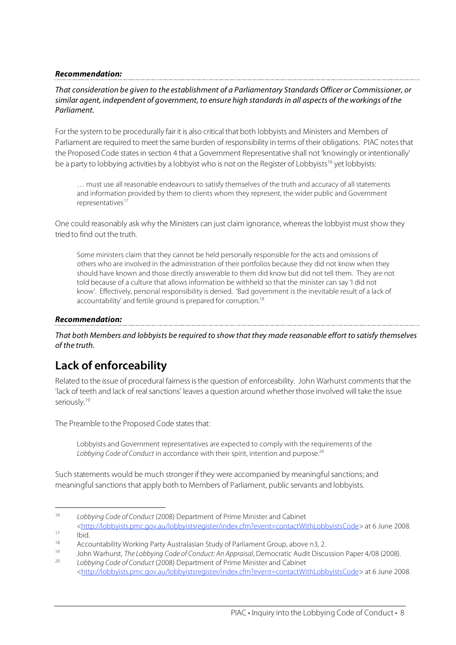#### **Recommendation:**

#### That consideration be given to the establishment of a Parliamentary Standards Officer or Commissioner, or similar agent, independent of government, to ensure high standards in all aspects of the workings of the Parliament.

For the system to be procedurally fair it is also critical that both lobbyists and Ministers and Members of Parliament are required to meet the same burden of responsibility in terms of their obligations. PIAC notesthat the Proposed Code statesin section 4 that a Government Representative shall not 'knowingly or intentionally' be a party to lobbying activities by a lobbyist who is not on the Register of Lobbyists<sup>16</sup> yet lobbyists:

… must use all reasonable endeavours to satisfy themselves of the truth and accuracy of all statements and information provided by them to clients whom they represent, the wider public and Government representatives<sup>17</sup>

One could reasonably ask why the Ministers can just claim ignorance, whereas the lobbyist must show they tried to find out the truth.

Some ministers claim that they cannot be held personally responsible for the acts and omissions of others who are involved in the administration of their portfolios because they did not know when they should have known and those directly answerable to them did know but did not tell them. They are not told because of a culture that allows information be withheld so that the minister can say 'I did not know'. Effectively, personal responsibility is denied. 'Bad government is the inevitable result of a lack of accountability' and fertile ground is prepared for corruption.<sup>18</sup>

#### **Recommendation:**

That both Members and lobbyists be required to show that they made reasonable effort to satisfy themselves of the truth.

### **Lack of enforceability**

Related to the issue of procedural fairness is the question of enforceability. John Warhurst comments that the 'lack of teeth and lack of real sanctions' leaves a question around whetherthose involved will take the issue seriously.<sup>19</sup>

The Preamble to the Proposed Code states that:

Lobbyists and Government representatives are expected to comply with the requirements of the Lobbying Code of Conduct in accordance with their spirit, intention and purpose.<sup>20</sup>

Such statements would be much stronger if they were accompanied by meaningful sanctions; and meaningful sanctions that apply both to Members of Parliament, public servants and lobbyists.

<http://lobbyists.pmc.gov.au/lobbyistsregister/index.cfm?event=contactWithLobbyistsCode> at 6 June 2008.  $\frac{17}{18}$  Ibid.

<sup>&</sup>lt;sup>16</sup> Lobbying Code of Conduct (2008) Department of Prime Minister and Cabinet

<sup>&</sup>lt;sup>18</sup> Accountability Working Party Australasian Study of Parliament Group, above n3, 2.

<sup>19</sup> John Warhurst, The Lobbying Code of Conduct: An Appraisal, Democratic Audit Discussion Paper 4/08 (2008). Lobbying Code of Conduct (2008) Department of Prime Minister and Cabinet

<sup>&</sup>lt;http://lobbyists.pmc.gov.au/lobbyistsregister/index.cfm?event=contactWithLobbyistsCode> at 6 June 2008.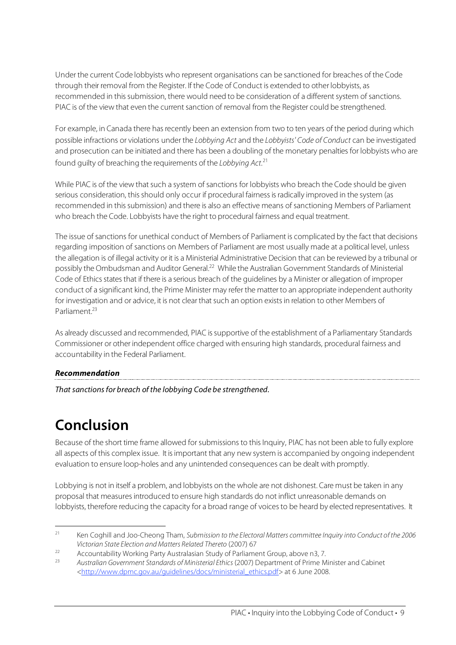Under the current Code lobbyists who represent organisations can be sanctioned for breaches of the Code through their removal from the Register. If the Code of Conduct is extended to other lobbyists, as recommended in this submission, there would need to be consideration of a different system of sanctions. PIAC is of the view that even the current sanction of removal from the Register could be strengthened.

For example, in Canada there has recently been an extension from two to ten years of the period during which possible infractions or violations under the Lobbying Act and the Lobbyists' Code of Conduct can be investigated and prosecution can be initiated and there has been a doubling of the monetary penalties for lobbyists who are found guilty of breaching the requirements of the Lobbying Act.<sup>21</sup>

While PIAC is of the view that such a system of sanctions for lobbyists who breach the Code should be given serious consideration, this should only occur if procedural fairness is radically improved in the system (as recommended in thissubmission) and there is also an effective means of sanctioning Members of Parliament who breach the Code. Lobbyists have the right to procedural fairness and equal treatment.

The issue of sanctions for unethical conduct of Members of Parliament is complicated by the fact that decisions regarding imposition of sanctions on Members of Parliament are most usually made at a political level, unless the allegation is of illegal activity or it is a Ministerial Administrative Decision that can be reviewed by a tribunal or possibly the Ombudsman and Auditor General.<sup>22</sup> While the Australian Government Standards of Ministerial Code of Ethics states that if there is a serious breach of the guidelines by a Minister or allegation of improper conduct of a significant kind, the Prime Minister may refer the matterto an appropriate independent authority for investigation and or advice, it is not clear that such an option exists in relation to other Members of Parliament. 23

As already discussed and recommended, PIAC issupportive of the establishment of a Parliamentary Standards Commissioner or other independent office charged with ensuring high standards, procedural fairness and accountability in the Federal Parliament.

### **Recommendation**

That sanctions for breach of the lobbying Code be strengthened.

## **Conclusion**

Because of the short time frame allowed for submissions to this Inquiry, PIAC has not been able to fully explore all aspects of this complex issue. It isimportant that any new system is accompanied by ongoing independent evaluation to ensure loop-holes and any unintended consequences can be dealt with promptly.

Lobbying is not in itself a problem, and lobbyists on the whole are not dishonest. Care must be taken in any proposal that measuresintroduced to ensure high standards do not inflict unreasonable demands on lobbyists, therefore reducing the capacity for a broad range of voices to be heard by elected representatives. It

<sup>&</sup>lt;sup>21</sup> Ken Coghill and Joo-Cheong Tham, Submission to the Electoral Matters committee Inquiry into Conduct of the 2006 Victorian State Election and Matters Related Thereto (2007) 67

<sup>22</sup> Accountability Working Party Australasian Study of Parliament Group, above n3, 7.

<sup>23</sup> Australian Government Standards of Ministerial Ethics (2007) Department of Prime Minister and Cabinet <http://www.dpmc.gov.au/guidelines/docs/ministerial\_ethics.pdf> at 6 June 2008.